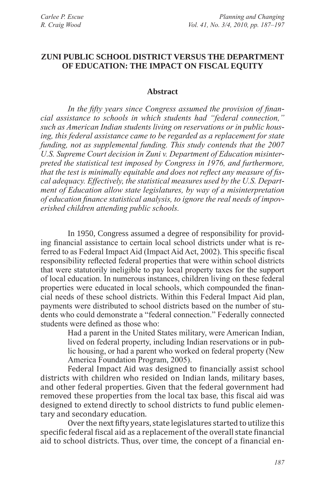### **Zuni Public School District versus the Department of Education: The Impact on Fiscal Equity**

### **Abstract**

*In the fifty years since Congress assumed the provision of financial assistance to schools in which students had "federal connection," such as American Indian students living on reservations or in public housing, this federal assistance came to be regarded as a replacement for state funding, not as supplemental funding. This study contends that the 2007 U.S. Supreme Court decision in Zuni v. Department of Education misinterpreted the statistical test imposed by Congress in 1976, and furthermore, that the test is minimally equitable and does not reflect any measure of fiscal adequacy. Effectively, the statistical measures used by the U.S. Department of Education allow state legislatures, by way of a misinterpretation of education finance statistical analysis, to ignore the real needs of impoverished children attending public schools.*

In 1950, Congress assumed a degree of responsibility for providing financial assistance to certain local school districts under what is referred to as Federal Impact Aid (Impact Aid Act, 2002). This specific fiscal responsibility reflected federal properties that were within school districts that were statutorily ineligible to pay local property taxes for the support of local education. In numerous instances, children living on these federal properties were educated in local schools, which compounded the financial needs of these school districts. Within this Federal Impact Aid plan, payments were distributed to school districts based on the number of students who could demonstrate a "federal connection." Federally connected students were defined as those who:

Had a parent in the United States military, were American Indian, lived on federal property, including Indian reservations or in public housing, or had a parent who worked on federal property (New America Foundation Program, 2005).

Federal Impact Aid was designed to financially assist school districts with children who resided on Indian lands, military bases, and other federal properties. Given that the federal government had removed these properties from the local tax base, this fiscal aid was designed to extend directly to school districts to fund public elementary and secondary education.

Over the next fifty years, state legislatures started to utilize this specific federal fiscal aid as a replacement of the overall state financial aid to school districts. Thus, over time, the concept of a financial en-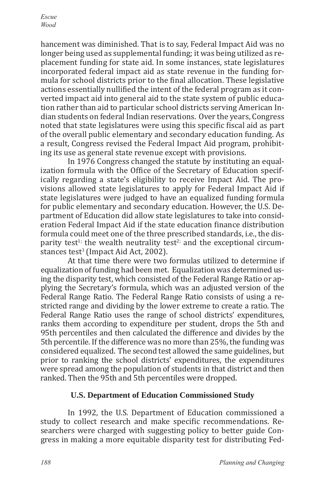hancement was diminished. That is to say, Federal Impact Aid was no longer being used as supplemental funding; it was being utilized as replacement funding for state aid. In some instances, state legislatures incorporated federal impact aid as state revenue in the funding formula for school districts prior to the final allocation. These legislative actions essentially nullified the intent of the federal program as it converted impact aid into general aid to the state system of public education rather than aid to particular school districts serving American Indian students on federal Indian reservations. Over the years, Congress noted that state legislatures were using this specific fiscal aid as part of the overall public elementary and secondary education funding. As a result, Congress revised the Federal Impact Aid program, prohibiting its use as general state revenue except with provisions.

In 1976 Congress changed the statute by instituting an equalization formula with the Office of the Secretary of Education specifically regarding a state's eligibility to receive Impact Aid. The provisions allowed state legislatures to apply for Federal Impact Aid if state legislatures were judged to have an equalized funding formula for public elementary and secondary education. However, the U.S. Department of Education did allow state legislatures to take into consideration Federal Impact Aid if the state education finance distribution formula could meet one of the three prescribed standards, i.e., the disparity test<sup>1;</sup> the wealth neutrality test<sup>2;</sup> and the exceptional circumstances test<sup>3</sup> (Impact Aid Act, 2002).

At that time there were two formulas utilized to determine if equalization of funding had been met. Equalization was determined using the disparity test, which consisted of the Federal Range Ratio or applying the Secretary's formula, which was an adjusted version of the Federal Range Ratio. The Federal Range Ratio consists of using a restricted range and dividing by the lower extreme to create a ratio. The Federal Range Ratio uses the range of school districts' expenditures, ranks them according to expenditure per student, drops the 5th and 95th percentiles and then calculated the difference and divides by the 5th percentile. If the difference was no more than 25%, the funding was considered equalized. The second test allowed the same guidelines, but prior to ranking the school districts' expenditures, the expenditures were spread among the population of students in that district and then ranked. Then the 95th and 5th percentiles were dropped.

# **U.S. Department of Education Commissioned Study**

In 1992, the U.S. Department of Education commissioned a study to collect research and make specific recommendations. Researchers were charged with suggesting policy to better guide Congress in making a more equitable disparity test for distributing Fed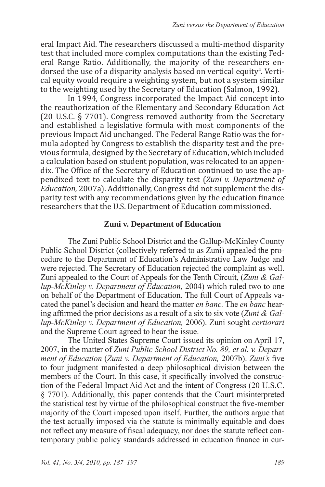eral Impact Aid. The researchers discussed a multi-method disparity test that included more complex computations than the existing Federal Range Ratio. Additionally, the majority of the researchers endorsed the use of a disparity analysis based on vertical equity<sup>4</sup>. Vertical equity would require a weighting system, but not a system similar to the weighting used by the Secretary of Education (Salmon, 1992).

In 1994, Congress incorporated the Impact Aid concept into the reauthorization of the Elementary and Secondary Education Act (20 U.S.C. § 7701). Congress removed authority from the Secretary and established a legislative formula with most components of the previous Impact Aid unchanged. The Federal Range Ratio was the formula adopted by Congress to establish the disparity test and the previous formula, designed by the Secretary of Education, which included a calculation based on student population, was relocated to an appendix. The Office of the Secretary of Education continued to use the appendixed text to calculate the disparity test (*Zuni v. Department of Education,* 2007a). Additionally, Congress did not supplement the disparity test with any recommendations given by the education finance researchers that the U.S. Department of Education commissioned.

# **Zuni v. Department of Education**

The Zuni Public School District and the Gallup-McKinley County Public School District (collectively referred to as Zuni) appealed the procedure to the Department of Education's Administrative Law Judge and were rejected. The Secretary of Education rejected the complaint as well. Zuni appealed to the Court of Appeals for the Tenth Circuit, (*Zuni & Gallup-McKinley v. Department of Education,* 2004) which ruled two to one on behalf of the Department of Education. The full Court of Appeals vacated the panel's decision and heard the matter *en banc.* The *en banc* hearing affirmed the prior decisions as a result of a six to six vote (*Zuni & Gallup-McKinley v. Department of Education,* 2006). Zuni sought *certiorari* and the Supreme Court agreed to hear the issue.

The United States Supreme Court issued its opinion on April 17, 2007, in the matter of *Zuni Public School District No. 89, et al. v. Department of Education* (*Zuni v. Department of Education,* 2007b). *Zuni's* five to four judgment manifested a deep philosophical division between the members of the Court. In this case, it specifically involved the construction of the Federal Impact Aid Act and the intent of Congress (20 U.S.C. § 7701). Additionally, this paper contends that the Court misinterpreted the statistical test by virtue of the philosophical construct the five-member majority of the Court imposed upon itself. Further, the authors argue that the test actually imposed via the statute is minimally equitable and does not reflect any measure of fiscal adequacy, nor does the statute reflect contemporary public policy standards addressed in education finance in cur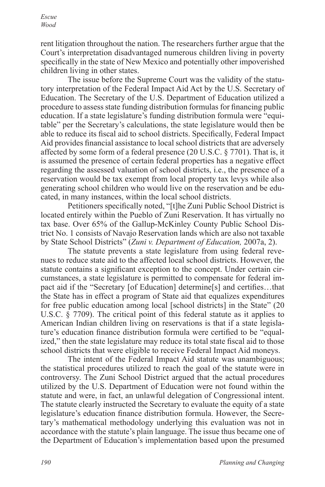*Escue Wood*

rent litigation throughout the nation. The researchers further argue that the Court's interpretation disadvantaged numerous children living in poverty specifically in the state of New Mexico and potentially other impoverished children living in other states.

The issue before the Supreme Court was the validity of the statutory interpretation of the Federal Impact Aid Act by the U.S. Secretary of Education. The Secretary of the U.S. Department of Education utilized a procedure to assess state funding distribution formulas for financing public education. If a state legislature's funding distribution formula were "equitable" per the Secretary's calculations, the state legislature would then be able to reduce its fiscal aid to school districts. Specifically, Federal Impact Aid provides financial assistance to local school districts that are adversely affected by some form of a federal presence (20 U.S.C. § 7701). That is, it is assumed the presence of certain federal properties has a negative effect regarding the assessed valuation of school districts, i.e., the presence of a reservation would be tax exempt from local property tax levys while also generating school children who would live on the reservation and be educated, in many instances, within the local school districts.

Petitioners specifically noted, "[t]he Zuni Public School District is located entirely within the Pueblo of Zuni Reservation. It has virtually no tax base. Over 65% of the Gallup-McKinley County Public School District No. 1 consists of Navajo Reservation lands which are also not taxable by State School Districts" (*Zuni v. Department of Education,* 2007a, 2).

The statute prevents a state legislature from using federal revenues to reduce state aid to the affected local school districts. However, the statute contains a significant exception to the concept. Under certain circumstances, a state legislature is permitted to compensate for federal impact aid if the "Secretary [of Education] determine[s] and certifies…that the State has in effect a program of State aid that equalizes expenditures for free public education among local [school districts] in the State" (20 U.S.C. § 7709). The critical point of this federal statute as it applies to American Indian children living on reservations is that if a state legislature's education finance distribution formula were certified to be "equalized," then the state legislature may reduce its total state fiscal aid to those school districts that were eligible to receive Federal Impact Aid moneys.

The intent of the Federal Impact Aid statute was unambiguous; the statistical procedures utilized to reach the goal of the statute were in controversy. The Zuni School District argued that the actual procedures utilized by the U.S. Department of Education were not found within the statute and were, in fact, an unlawful delegation of Congressional intent. The statute clearly instructed the Secretary to evaluate the equity of a state legislature's education finance distribution formula. However, the Secretary's mathematical methodology underlying this evaluation was not in accordance with the statute's plain language. The issue thus became one of the Department of Education's implementation based upon the presumed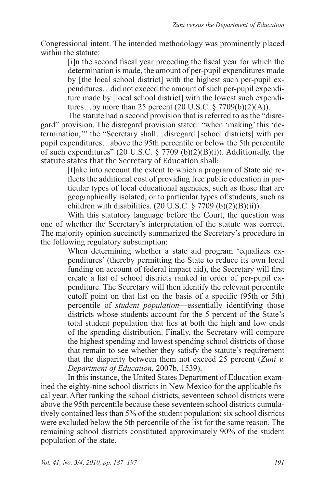Congressional intent. The intended methodology was prominently placed within the statute:

[i]n the second fiscal year preceding the fiscal year for which the determination is made, the amount of per-pupil expenditures made by [the local school district] with the highest such per-pupil expenditures…did not exceed the amount of such per-pupil expenditure made by [local school district] with the lowest such expenditures...by more than 25 percent  $(20 \text{ U.S.C.} \S 7709(b)(2)(A))$ .

The statute had a second provision that is referred to as the "disregard" provision. The disregard provision stated: "when 'making' this 'determination,'" the "Secretary shall…disregard [school districts] with per pupil expenditures…above the 95th percentile or below the 5th percentile of such expenditures" (20 U.S.C.  $\frac{20 \text{ V.S. C}}{100 \text{ V}}$  (b)(2)(B)(i)). Additionally, the statute states that the Secretary of Education shall:

[t]ake into account the extent to which a program of State aid reflects the additional cost of providing free public education in particular types of local educational agencies, such as those that are geographically isolated, or to particular types of students, such as children with disabilities.  $(20 \text{ U.S.C.} \S 7709 \text{ (b)}(2)(B)(ii))$ .

With this statutory language before the Court, the question was one of whether the Secretary's interpretation of the statute was correct. The majority opinion succinctly summarized the Secretary's procedure in the following regulatory subsumption:

When determining whether a state aid program 'equalizes expenditures' (thereby permitting the State to reduce its own local funding on account of federal impact aid), the Secretary will first create a list of school districts ranked in order of per-pupil expenditure. The Secretary will then identify the relevant percentile cutoff point on that list on the basis of a specific (95th or 5th) percentile of *student population*—essentially identifying those districts whose students account for the 5 percent of the State's total student population that lies at both the high and low ends of the spending distribution. Finally, the Secretary will compare the highest spending and lowest spending school districts of those that remain to see whether they satisfy the statute's requirement that the disparity between them not exceed 25 percent (*Zuni v. Department of Education,* 2007b, 1539).

In this instance, the United States Department of Education examined the eighty-nine school districts in New Mexico for the applicable fiscal year. After ranking the school districts, seventeen school districts were above the 95th percentile because these seventeen school districts cumulatively contained less than 5% of the student population; six school districts were excluded below the 5th percentile of the list for the same reason. The remaining school districts constituted approximately 90% of the student population of the state.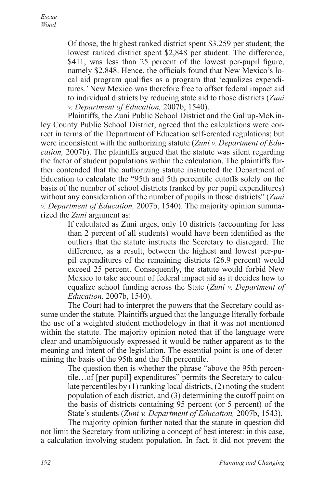Of those, the highest ranked district spent \$3,259 per student; the lowest ranked district spent \$2,848 per student. The difference,  $$411$ , was less than  $25$  percent of the lowest per-pupil figure, namely \$2,848. Hence, the officials found that New Mexico's local aid program qualifies as a program that 'equalizes expenditures.' New Mexico was therefore free to offset federal impact aid to individual districts by reducing state aid to those districts (*Zuni v. Department of Education,* 2007b, 1540).

Plaintiffs, the Zuni Public School District and the Gallup-McKinley County Public School District, agreed that the calculations were correct in terms of the Department of Education self-created regulations; but were inconsistent with the authorizing statute (*Zuni v. Department of Education,* 2007b). The plaintiffs argued that the statute was silent regarding the factor of student populations within the calculation. The plaintiffs further contended that the authorizing statute instructed the Department of Education to calculate the "95th and 5th percentile cutoffs solely on the basis of the number of school districts (ranked by per pupil expenditures) without any consideration of the number of pupils in those districts" (*Zuni v. Department of Education,* 2007b, 1540). The majority opinion summarized the *Zuni* argument as:

If calculated as Zuni urges, only 10 districts (accounting for less than 2 percent of all students) would have been identified as the outliers that the statute instructs the Secretary to disregard. The difference, as a result, between the highest and lowest per-pupil expenditures of the remaining districts (26.9 percent) would exceed 25 percent. Consequently, the statute would forbid New Mexico to take account of federal impact aid as it decides how to equalize school funding across the State (*Zuni v. Department of Education,* 2007b, 1540).

The Court had to interpret the powers that the Secretary could assume under the statute. Plaintiffs argued that the language literally forbade the use of a weighted student methodology in that it was not mentioned within the statute. The majority opinion noted that if the language were clear and unambiguously expressed it would be rather apparent as to the meaning and intent of the legislation. The essential point is one of determining the basis of the 95th and the 5th percentile.

> The question then is whether the phrase "above the 95th percentile…of [per pupil] expenditures" permits the Secretary to calculate percentiles by (1) ranking local districts, (2) noting the student population of each district, and (3) determining the cutoff point on the basis of districts containing 95 percent (or 5 percent) of the State's students (*Zuni v. Department of Education,* 2007b, 1543).

The majority opinion further noted that the statute in question did not limit the Secretary from utilizing a concept of best interest: in this case, a calculation involving student population. In fact, it did not prevent the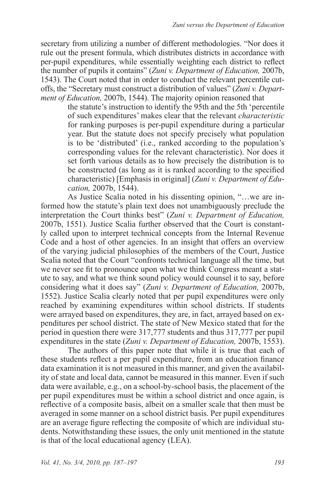secretary from utilizing a number of different methodologies. "Nor does it rule out the present formula, which distributes districts in accordance with per-pupil expenditures, while essentially weighting each district to reflect the number of pupils it contains" (*Zuni v. Department of Education,* 2007b, 1543). The Court noted that in order to conduct the relevant percentile cutoffs, the "Secretary must construct a distribution of values" (*Zuni v. Department of Education,* 2007b, 1544). The majority opinion reasoned that

the statute's instruction to identify the 95th and the 5th 'percentile of such expenditures' makes clear that the relevant *characteristic*  for ranking purposes is per-pupil expenditure during a particular year. But the statute does not specify precisely what population is to be 'distributed' (i.e., ranked according to the population's corresponding values for the relevant characteristic). Nor does it set forth various details as to how precisely the distribution is to be constructed (as long as it is ranked according to the specified characteristic) [Emphasis in original] (*Zuni v. Department of Education,* 2007b, 1544).

As Justice Scalia noted in his dissenting opinion, "…we are informed how the statute's plain text does not unambiguously preclude the interpretation the Court thinks best" (*Zuni v. Department of Education,*  2007b, 1551). Justice Scalia further observed that the Court is constantly called upon to interpret technical concepts from the Internal Revenue Code and a host of other agencies. In an insight that offers an overview of the varying judicial philosophies of the members of the Court, Justice Scalia noted that the Court "confronts technical language all the time, but we never see fit to pronounce upon what we think Congress meant a statute to say, and what we think sound policy would counsel it to say, before considering what it does say" (*Zuni v. Department of Education,* 2007b, 1552). Justice Scalia clearly noted that per pupil expenditures were only reached by examining expenditures within school districts. If students were arrayed based on expenditures, they are, in fact, arrayed based on expenditures per school district. The state of New Mexico stated that for the period in question there were 317,777 students and thus 317,777 per pupil expenditures in the state (*Zuni v. Department of Education,* 2007b, 1553).

The authors of this paper note that while it is true that each of these students reflect a per pupil expenditure, from an education finance data examination it is not measured in this manner, and given the availability of state and local data, cannot be measured in this manner. Even if such data were available, e.g., on a school-by-school basis, the placement of the per pupil expenditures must be within a school district and once again, is reflective of a composite basis, albeit on a smaller scale that then must be averaged in some manner on a school district basis. Per pupil expenditures are an average figure reflecting the composite of which are individual students. Notwithstanding these issues, the only unit mentioned in the statute is that of the local educational agency (LEA).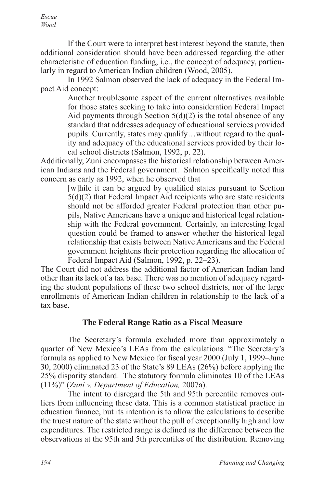*Escue Wood*

If the Court were to interpret best interest beyond the statute, then additional consideration should have been addressed regarding the other characteristic of education funding, i.e., the concept of adequacy, particularly in regard to American Indian children (Wood, 2005).

In 1992 Salmon observed the lack of adequacy in the Federal Impact Aid concept:

> Another troublesome aspect of the current alternatives available for those states seeking to take into consideration Federal Impact Aid payments through Section  $5(d)(2)$  is the total absence of any standard that addresses adequacy of educational services provided pupils. Currently, states may qualify…without regard to the quality and adequacy of the educational services provided by their local school districts (Salmon, 1992, p. 22).

Additionally, Zuni encompasses the historical relationship between American Indians and the Federal government. Salmon specifically noted this concern as early as 1992, when he observed that

> [w]hile it can be argued by qualified states pursuant to Section 5(d)(2) that Federal Impact Aid recipients who are state residents should not be afforded greater Federal protection than other pupils, Native Americans have a unique and historical legal relationship with the Federal government. Certainly, an interesting legal question could be framed to answer whether the historical legal relationship that exists between Native Americans and the Federal government heightens their protection regarding the allocation of Federal Impact Aid (Salmon, 1992, p. 22–23).

The Court did not address the additional factor of American Indian land other than its lack of a tax base. There was no mention of adequacy regarding the student populations of these two school districts, nor of the large enrollments of American Indian children in relationship to the lack of a tax base.

### **The Federal Range Ratio as a Fiscal Measure**

The Secretary's formula excluded more than approximately a quarter of New Mexico's LEAs from the calculations. "The Secretary's formula as applied to New Mexico for fiscal year 2000 (July 1, 1999–June 30, 2000) eliminated 23 of the State's 89 LEAs (26%) before applying the 25% disparity standard. The statutory formula eliminates 10 of the LEAs (11%)" (*Zuni v. Department of Education,* 2007a).

The intent to disregard the 5th and 95th percentile removes outliers from influencing these data. This is a common statistical practice in education finance, but its intention is to allow the calculations to describe the truest nature of the state without the pull of exceptionally high and low expenditures. The restricted range is defined as the difference between the observations at the 95th and 5th percentiles of the distribution. Removing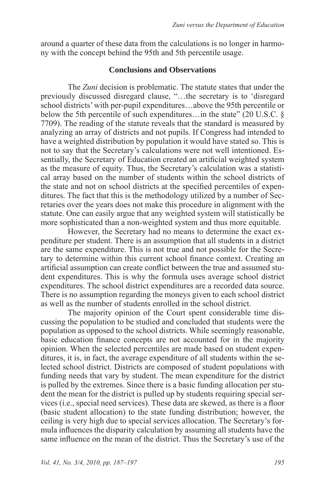around a quarter of these data from the calculations is no longer in harmony with the concept behind the 95th and 5th percentile usage.

# **Conclusions and Observations**

The *Zuni* decision is problematic. The statute states that under the previously discussed disregard clause, "…the secretary is to 'disregard school districts' with per-pupil expenditures…above the 95th percentile or below the 5th percentile of such expenditures...in the state" (20 U.S.C. § 7709). The reading of the statute reveals that the standard is measured by analyzing an array of districts and not pupils. If Congress had intended to have a weighted distribution by population it would have stated so. This is not to say that the Secretary's calculations were not well intentioned. Essentially, the Secretary of Education created an artificial weighted system as the measure of equity. Thus, the Secretary's calculation was a statistical array based on the number of students within the school districts of the state and not on school districts at the specified percentiles of expenditures. The fact that this is the methodology utilized by a number of Secretaries over the years does not make this procedure in alignment with the statute. One can easily argue that any weighted system will statistically be more sophisticated than a non-weighted system and thus more equitable.

However, the Secretary had no means to determine the exact expenditure per student. There is an assumption that all students in a district are the same expenditure. This is not true and not possible for the Secretary to determine within this current school finance context. Creating an artificial assumption can create conflict between the true and assumed student expenditures. This is why the formula uses average school district expenditures. The school district expenditures are a recorded data source. There is no assumption regarding the moneys given to each school district as well as the number of students enrolled in the school district.

The majority opinion of the Court spent considerable time discussing the population to be studied and concluded that students were the population as opposed to the school districts. While seemingly reasonable, basic education finance concepts are not accounted for in the majority opinion. When the selected percentiles are made based on student expenditures, it is, in fact, the average expenditure of all students within the selected school district. Districts are composed of student populations with funding needs that vary by student. The mean expenditure for the district is pulled by the extremes. Since there is a basic funding allocation per student the mean for the district is pulled up by students requiring special services (i.e., special need services). These data are skewed, as there is a floor (basic student allocation) to the state funding distribution; however, the ceiling is very high due to special services allocation. The Secretary's formula influences the disparity calculation by assuming all students have the same influence on the mean of the district. Thus the Secretary's use of the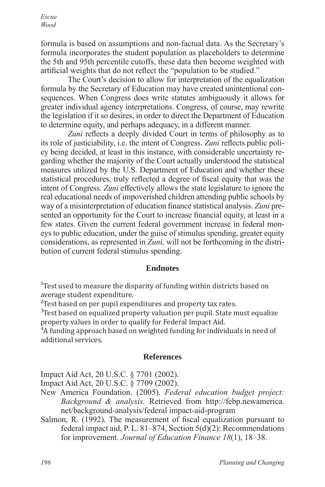*Escue Wood*

formula is based on assumptions and non-factual data. As the Secretary's formula incorporates the student population as placeholders to determine the 5th and 95th percentile cutoffs, these data then become weighted with artificial weights that do not reflect the "population to be studied."

The Court's decision to allow for interpretation of the equalization formula by the Secretary of Education may have created unintentional consequences. When Congress does write statutes ambiguously it allows for greater individual agency interpretations. Congress, of course, may rewrite the legislation if it so desires, in order to direct the Department of Education to determine equity, and perhaps adequacy, in a different manner.

*Zuni* reflects a deeply divided Court in terms of philosophy as to its role of justiciability, i.e. the intent of Congress. *Zuni* reflects public policy being decided, at least in this instance, with considerable uncertainty regarding whether the majority of the Court actually understood the statistical measures utilized by the U.S. Department of Education and whether these statistical procedures, truly reflected a degree of fiscal equity that was the intent of Congress. *Zuni* effectively allows the state legislature to ignore the real educational needs of impoverished children attending public schools by way of a misinterpretation of education finance statistical analysis. *Zuni* presented an opportunity for the Court to increase financial equity, at least in a few states. Given the current federal government increase in federal moneys to public education, under the guise of stimulus spending, greater equity considerations, as represented in *Zuni,* will not be forthcoming in the distribution of current federal stimulus spending.

### **Endnotes**

<sup>1</sup> Test used to measure the disparity of funding within districts based on average student expenditure.

 $\frac{2}{3}$ Test based on per pupil expenditures and property tax rates.

<sup>3</sup>Test based on equalized property valuation per pupil. State must equalize property values in order to qualify for Federal Impact Aid.

<sup>4</sup>A funding approach based on weighted funding for individuals in need of additional services.

### **References**

Impact Aid Act, 20 U.S.C. § 7701 (2002).

Impact Aid Act, 20 U.S.C. § 7709 (2002).

- New America Foundation. (2005). *Federal education budget project: Background & analysis.* Retrieved from http://febp.newamerica. net/background-analysis/federal impact-aid-program
- Salmon, R. (1992). The measurement of fiscal equalization pursuant to federal impact aid, P. L. 81–874, Section  $5(d)(2)$ : Recommendations for improvement. *Journal of Education Finance 18*(1), 18–38.